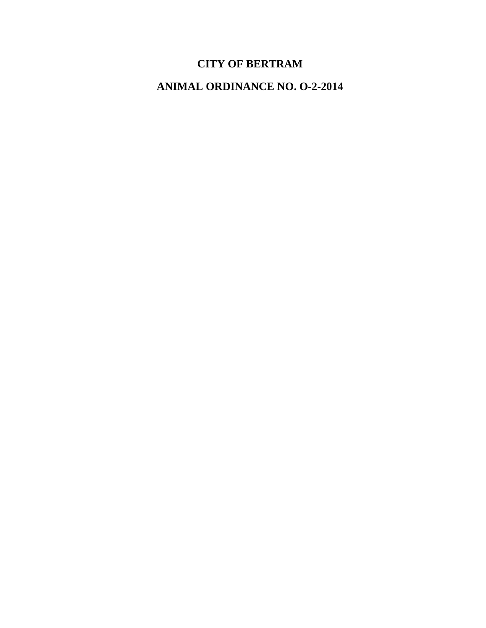# **CITY OF BERTRAM**

**ANIMAL ORDINANCE NO. O-2-2014**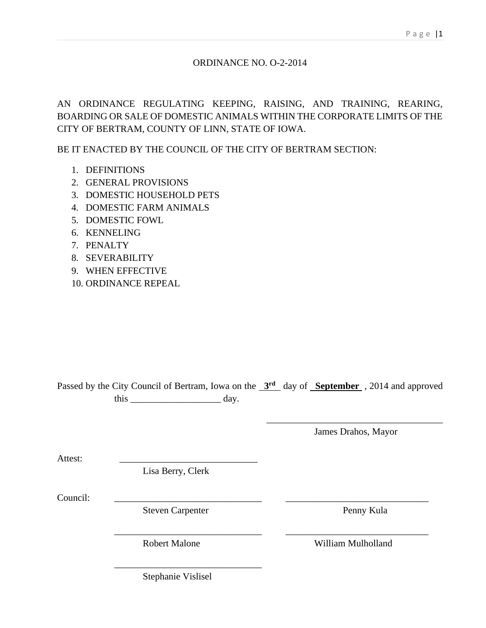## ORDINANCE NO. O-2-2014

AN ORDINANCE REGULATING KEEPING, RAISING, AND TRAINING, REARING, BOARDING OR SALE OF DOMESTIC ANIMALS WITHIN THE CORPORATE LIMITS OF THE CITY OF BERTRAM, COUNTY OF LINN, STATE OF IOWA.

BE IT ENACTED BY THE COUNCIL OF THE CITY OF BERTRAM SECTION:

- 1. DEFINITIONS
- 2. GENERAL PROVISIONS
- 3. DOMESTIC HOUSEHOLD PETS
- 4. DOMESTIC FARM ANIMALS
- 5. DOMESTIC FOWL
- 6. KENNELING
- 7. PENALTY
- 8. SEVERABILITY
- 9. WHEN EFFECTIVE
- 10. ORDINANCE REPEAL

Passed by the City Council of Bertram, Iowa on the  $3<sup>rd</sup>$  day of **September**, 2014 and approved this day.

\_\_\_\_\_\_\_\_\_\_\_\_\_\_\_\_\_\_\_\_\_\_\_\_\_\_\_\_\_\_\_ \_\_\_\_\_\_\_\_\_\_\_\_\_\_\_\_\_\_\_\_\_\_\_\_\_\_\_\_\_\_

\_\_\_\_\_\_\_\_\_\_\_\_\_\_\_\_\_\_\_\_\_\_\_\_\_\_\_\_\_\_\_\_\_\_\_\_\_ James Drahos, Mayor

Attest:

Lisa Berry, Clerk

Council: \_\_\_\_\_\_\_\_\_\_\_\_\_\_\_\_\_\_\_\_\_\_\_\_\_\_\_\_\_\_\_ \_\_\_\_\_\_\_\_\_\_\_\_\_\_\_\_\_\_\_\_\_\_\_\_\_\_\_\_\_\_

Steven Carpenter Penny Kula

Robert Malone William Mulholland

Stephanie Vislisel

\_\_\_\_\_\_\_\_\_\_\_\_\_\_\_\_\_\_\_\_\_\_\_\_\_\_\_\_\_\_\_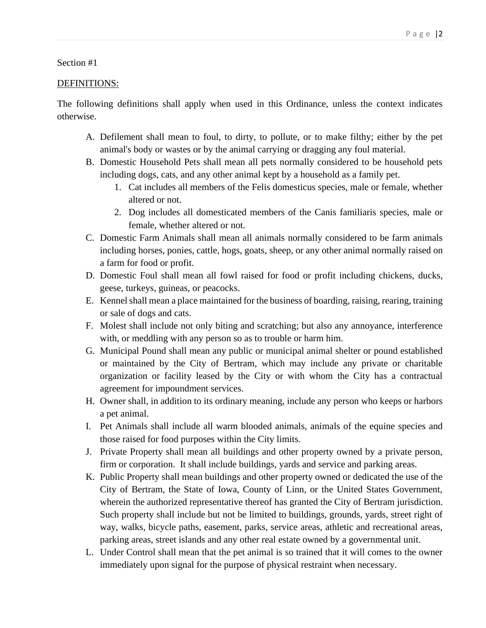## DEFINITIONS:

The following definitions shall apply when used in this Ordinance, unless the context indicates otherwise.

- A. Defilement shall mean to foul, to dirty, to pollute, or to make filthy; either by the pet animal's body or wastes or by the animal carrying or dragging any foul material.
- B. Domestic Household Pets shall mean all pets normally considered to be household pets including dogs, cats, and any other animal kept by a household as a family pet.
	- 1. Cat includes all members of the Felis domesticus species, male or female, whether altered or not.
	- 2. Dog includes all domesticated members of the Canis familiaris species, male or female, whether altered or not.
- C. Domestic Farm Animals shall mean all animals normally considered to be farm animals including horses, ponies, cattle, hogs, goats, sheep, or any other animal normally raised on a farm for food or profit.
- D. Domestic Foul shall mean all fowl raised for food or profit including chickens, ducks, geese, turkeys, guineas, or peacocks.
- E. Kennel shall mean a place maintained for the business of boarding, raising, rearing, training or sale of dogs and cats.
- F. Molest shall include not only biting and scratching; but also any annoyance, interference with, or meddling with any person so as to trouble or harm him.
- G. Municipal Pound shall mean any public or municipal animal shelter or pound established or maintained by the City of Bertram, which may include any private or charitable organization or facility leased by the City or with whom the City has a contractual agreement for impoundment services.
- H. Owner shall, in addition to its ordinary meaning, include any person who keeps or harbors a pet animal.
- I. Pet Animals shall include all warm blooded animals, animals of the equine species and those raised for food purposes within the City limits.
- J. Private Property shall mean all buildings and other property owned by a private person, firm or corporation. It shall include buildings, yards and service and parking areas.
- K. Public Property shall mean buildings and other property owned or dedicated the use of the City of Bertram, the State of Iowa, County of Linn, or the United States Government, wherein the authorized representative thereof has granted the City of Bertram jurisdiction. Such property shall include but not be limited to buildings, grounds, yards, street right of way, walks, bicycle paths, easement, parks, service areas, athletic and recreational areas, parking areas, street islands and any other real estate owned by a governmental unit.
- L. Under Control shall mean that the pet animal is so trained that it will comes to the owner immediately upon signal for the purpose of physical restraint when necessary.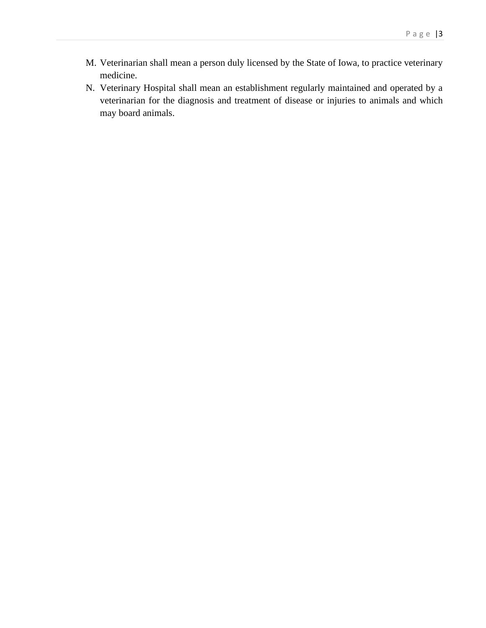- M. Veterinarian shall mean a person duly licensed by the State of Iowa, to practice veterinary medicine.
- N. Veterinary Hospital shall mean an establishment regularly maintained and operated by a veterinarian for the diagnosis and treatment of disease or injuries to animals and which may board animals.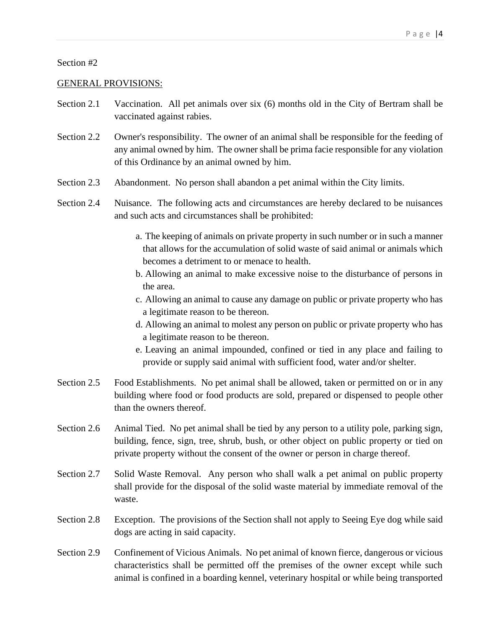#### GENERAL PROVISIONS:

- Section 2.1 Vaccination. All pet animals over six (6) months old in the City of Bertram shall be vaccinated against rabies.
- Section 2.2 Owner's responsibility. The owner of an animal shall be responsible for the feeding of any animal owned by him. The owner shall be prima facie responsible for any violation of this Ordinance by an animal owned by him.
- Section 2.3 Abandonment. No person shall abandon a pet animal within the City limits.
- Section 2.4 Nuisance. The following acts and circumstances are hereby declared to be nuisances and such acts and circumstances shall be prohibited:
	- a. The keeping of animals on private property in such number or in such a manner that allows for the accumulation of solid waste of said animal or animals which becomes a detriment to or menace to health.
	- b. Allowing an animal to make excessive noise to the disturbance of persons in the area.
	- c. Allowing an animal to cause any damage on public or private property who has a legitimate reason to be thereon.
	- d. Allowing an animal to molest any person on public or private property who has a legitimate reason to be thereon.
	- e. Leaving an animal impounded, confined or tied in any place and failing to provide or supply said animal with sufficient food, water and/or shelter.
- Section 2.5 Food Establishments. No pet animal shall be allowed, taken or permitted on or in any building where food or food products are sold, prepared or dispensed to people other than the owners thereof.
- Section 2.6 Animal Tied. No pet animal shall be tied by any person to a utility pole, parking sign, building, fence, sign, tree, shrub, bush, or other object on public property or tied on private property without the consent of the owner or person in charge thereof.
- Section 2.7 Solid Waste Removal. Any person who shall walk a pet animal on public property shall provide for the disposal of the solid waste material by immediate removal of the waste.
- Section 2.8 Exception. The provisions of the Section shall not apply to Seeing Eye dog while said dogs are acting in said capacity.
- Section 2.9 Confinement of Vicious Animals. No pet animal of known fierce, dangerous or vicious characteristics shall be permitted off the premises of the owner except while such animal is confined in a boarding kennel, veterinary hospital or while being transported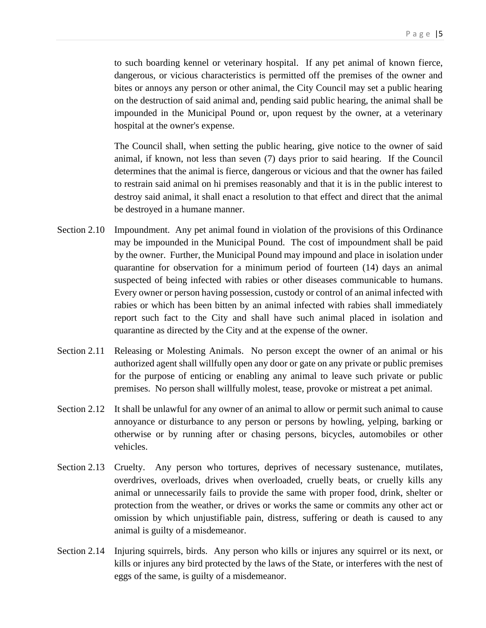to such boarding kennel or veterinary hospital. If any pet animal of known fierce, dangerous, or vicious characteristics is permitted off the premises of the owner and bites or annoys any person or other animal, the City Council may set a public hearing on the destruction of said animal and, pending said public hearing, the animal shall be impounded in the Municipal Pound or, upon request by the owner, at a veterinary hospital at the owner's expense.

The Council shall, when setting the public hearing, give notice to the owner of said animal, if known, not less than seven (7) days prior to said hearing. If the Council determines that the animal is fierce, dangerous or vicious and that the owner has failed to restrain said animal on hi premises reasonably and that it is in the public interest to destroy said animal, it shall enact a resolution to that effect and direct that the animal be destroyed in a humane manner.

- Section 2.10 Impoundment. Any pet animal found in violation of the provisions of this Ordinance may be impounded in the Municipal Pound. The cost of impoundment shall be paid by the owner. Further, the Municipal Pound may impound and place in isolation under quarantine for observation for a minimum period of fourteen (14) days an animal suspected of being infected with rabies or other diseases communicable to humans. Every owner or person having possession, custody or control of an animal infected with rabies or which has been bitten by an animal infected with rabies shall immediately report such fact to the City and shall have such animal placed in isolation and quarantine as directed by the City and at the expense of the owner.
- Section 2.11 Releasing or Molesting Animals. No person except the owner of an animal or his authorized agent shall willfully open any door or gate on any private or public premises for the purpose of enticing or enabling any animal to leave such private or public premises. No person shall willfully molest, tease, provoke or mistreat a pet animal.
- Section 2.12 It shall be unlawful for any owner of an animal to allow or permit such animal to cause annoyance or disturbance to any person or persons by howling, yelping, barking or otherwise or by running after or chasing persons, bicycles, automobiles or other vehicles.
- Section 2.13 Cruelty. Any person who tortures, deprives of necessary sustenance, mutilates, overdrives, overloads, drives when overloaded, cruelly beats, or cruelly kills any animal or unnecessarily fails to provide the same with proper food, drink, shelter or protection from the weather, or drives or works the same or commits any other act or omission by which unjustifiable pain, distress, suffering or death is caused to any animal is guilty of a misdemeanor.
- Section 2.14 Injuring squirrels, birds. Any person who kills or injures any squirrel or its next, or kills or injures any bird protected by the laws of the State, or interferes with the nest of eggs of the same, is guilty of a misdemeanor.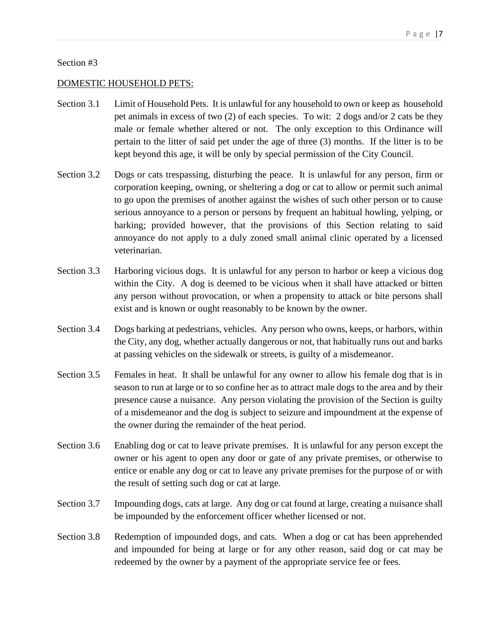#### DOMESTIC HOUSEHOLD PETS:

- Section 3.1 Limit of Household Pets. It is unlawful for any household to own or keep as household pet animals in excess of two (2) of each species. To wit: 2 dogs and/or 2 cats be they male or female whether altered or not. The only exception to this Ordinance will pertain to the litter of said pet under the age of three (3) months. If the litter is to be kept beyond this age, it will be only by special permission of the City Council.
- Section 3.2 Dogs or cats trespassing, disturbing the peace. It is unlawful for any person, firm or corporation keeping, owning, or sheltering a dog or cat to allow or permit such animal to go upon the premises of another against the wishes of such other person or to cause serious annoyance to a person or persons by frequent an habitual howling, yelping, or barking; provided however, that the provisions of this Section relating to said annoyance do not apply to a duly zoned small animal clinic operated by a licensed veterinarian.
- Section 3.3 Harboring vicious dogs. It is unlawful for any person to harbor or keep a vicious dog within the City. A dog is deemed to be vicious when it shall have attacked or bitten any person without provocation, or when a propensity to attack or bite persons shall exist and is known or ought reasonably to be known by the owner.
- Section 3.4 Dogs barking at pedestrians, vehicles. Any person who owns, keeps, or harbors, within the City, any dog, whether actually dangerous or not, that habitually runs out and barks at passing vehicles on the sidewalk or streets, is guilty of a misdemeanor.
- Section 3.5 Females in heat. It shall be unlawful for any owner to allow his female dog that is in season to run at large or to so confine her as to attract male dogs to the area and by their presence cause a nuisance. Any person violating the provision of the Section is guilty of a misdemeanor and the dog is subject to seizure and impoundment at the expense of the owner during the remainder of the heat period.
- Section 3.6 Enabling dog or cat to leave private premises. It is unlawful for any person except the owner or his agent to open any door or gate of any private premises, or otherwise to entice or enable any dog or cat to leave any private premises for the purpose of or with the result of setting such dog or cat at large.
- Section 3.7 Impounding dogs, cats at large. Any dog or cat found at large, creating a nuisance shall be impounded by the enforcement officer whether licensed or not.
- Section 3.8 Redemption of impounded dogs, and cats. When a dog or cat has been apprehended and impounded for being at large or for any other reason, said dog or cat may be redeemed by the owner by a payment of the appropriate service fee or fees.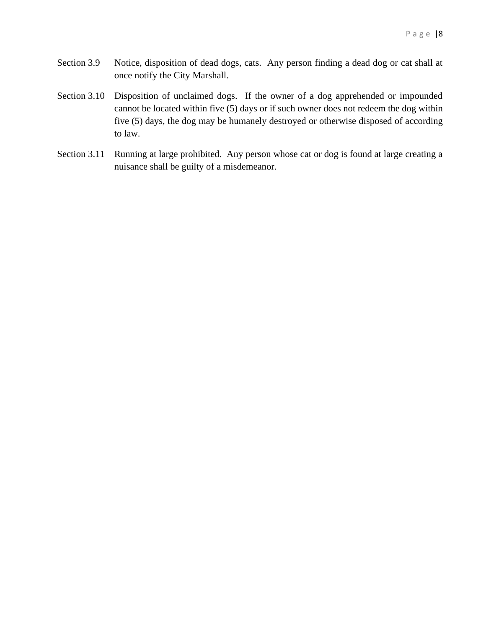- Section 3.9 Notice, disposition of dead dogs, cats. Any person finding a dead dog or cat shall at once notify the City Marshall.
- Section 3.10 Disposition of unclaimed dogs. If the owner of a dog apprehended or impounded cannot be located within five (5) days or if such owner does not redeem the dog within five (5) days, the dog may be humanely destroyed or otherwise disposed of according to law.
- Section 3.11 Running at large prohibited. Any person whose cat or dog is found at large creating a nuisance shall be guilty of a misdemeanor.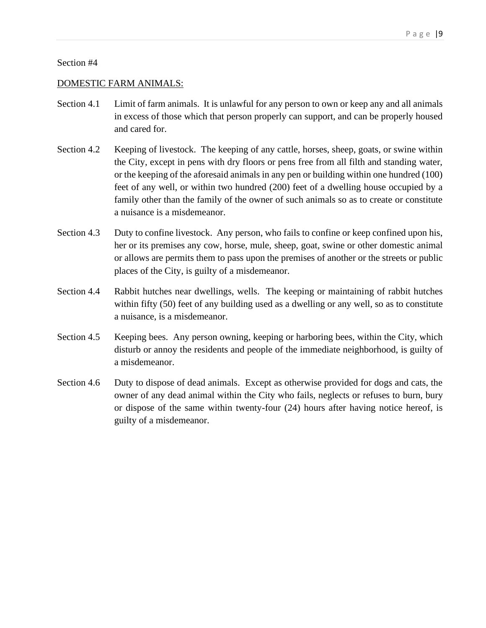#### DOMESTIC FARM ANIMALS:

- Section 4.1 Limit of farm animals. It is unlawful for any person to own or keep any and all animals in excess of those which that person properly can support, and can be properly housed and cared for.
- Section 4.2 Keeping of livestock. The keeping of any cattle, horses, sheep, goats, or swine within the City, except in pens with dry floors or pens free from all filth and standing water, or the keeping of the aforesaid animals in any pen or building within one hundred (100) feet of any well, or within two hundred (200) feet of a dwelling house occupied by a family other than the family of the owner of such animals so as to create or constitute a nuisance is a misdemeanor.
- Section 4.3 Duty to confine livestock. Any person, who fails to confine or keep confined upon his, her or its premises any cow, horse, mule, sheep, goat, swine or other domestic animal or allows are permits them to pass upon the premises of another or the streets or public places of the City, is guilty of a misdemeanor.
- Section 4.4 Rabbit hutches near dwellings, wells. The keeping or maintaining of rabbit hutches within fifty (50) feet of any building used as a dwelling or any well, so as to constitute a nuisance, is a misdemeanor.
- Section 4.5 Keeping bees. Any person owning, keeping or harboring bees, within the City, which disturb or annoy the residents and people of the immediate neighborhood, is guilty of a misdemeanor.
- Section 4.6 Duty to dispose of dead animals. Except as otherwise provided for dogs and cats, the owner of any dead animal within the City who fails, neglects or refuses to burn, bury or dispose of the same within twenty-four (24) hours after having notice hereof, is guilty of a misdemeanor.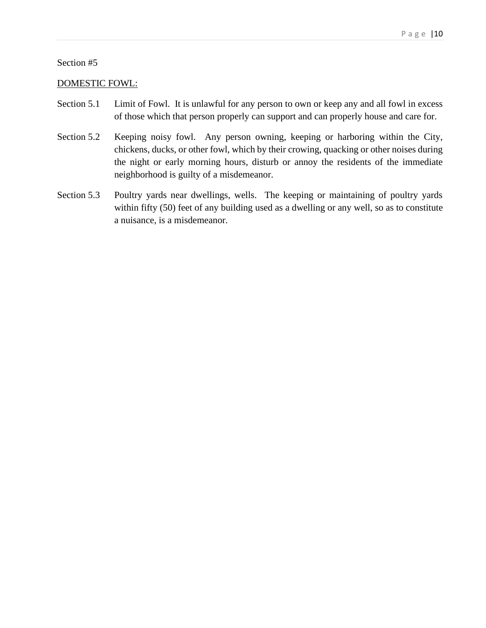#### DOMESTIC FOWL:

- Section 5.1 Limit of Fowl. It is unlawful for any person to own or keep any and all fowl in excess of those which that person properly can support and can properly house and care for.
- Section 5.2 Keeping noisy fowl. Any person owning, keeping or harboring within the City, chickens, ducks, or other fowl, which by their crowing, quacking or other noises during the night or early morning hours, disturb or annoy the residents of the immediate neighborhood is guilty of a misdemeanor.
- Section 5.3 Poultry yards near dwellings, wells. The keeping or maintaining of poultry yards within fifty (50) feet of any building used as a dwelling or any well, so as to constitute a nuisance, is a misdemeanor.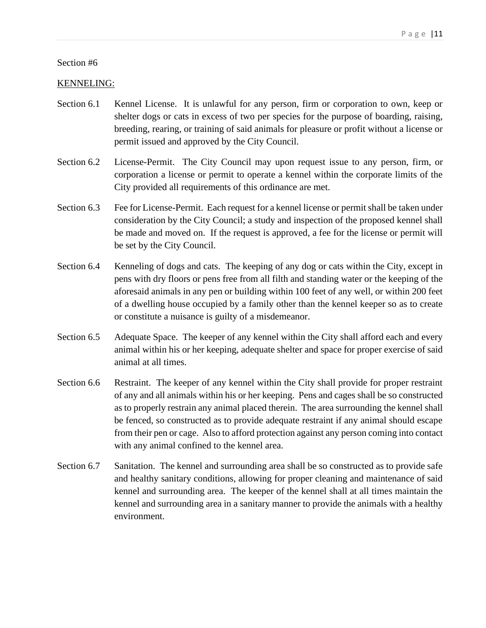## KENNELING:

- Section 6.1 Kennel License. It is unlawful for any person, firm or corporation to own, keep or shelter dogs or cats in excess of two per species for the purpose of boarding, raising, breeding, rearing, or training of said animals for pleasure or profit without a license or permit issued and approved by the City Council.
- Section 6.2 License-Permit. The City Council may upon request issue to any person, firm, or corporation a license or permit to operate a kennel within the corporate limits of the City provided all requirements of this ordinance are met.
- Section 6.3 Fee for License-Permit. Each request for a kennel license or permit shall be taken under consideration by the City Council; a study and inspection of the proposed kennel shall be made and moved on. If the request is approved, a fee for the license or permit will be set by the City Council.
- Section 6.4 Kenneling of dogs and cats. The keeping of any dog or cats within the City, except in pens with dry floors or pens free from all filth and standing water or the keeping of the aforesaid animals in any pen or building within 100 feet of any well, or within 200 feet of a dwelling house occupied by a family other than the kennel keeper so as to create or constitute a nuisance is guilty of a misdemeanor.
- Section 6.5 Adequate Space. The keeper of any kennel within the City shall afford each and every animal within his or her keeping, adequate shelter and space for proper exercise of said animal at all times.
- Section 6.6 Restraint. The keeper of any kennel within the City shall provide for proper restraint of any and all animals within his or her keeping. Pens and cages shall be so constructed as to properly restrain any animal placed therein. The area surrounding the kennel shall be fenced, so constructed as to provide adequate restraint if any animal should escape from their pen or cage. Also to afford protection against any person coming into contact with any animal confined to the kennel area.
- Section 6.7 Sanitation. The kennel and surrounding area shall be so constructed as to provide safe and healthy sanitary conditions, allowing for proper cleaning and maintenance of said kennel and surrounding area. The keeper of the kennel shall at all times maintain the kennel and surrounding area in a sanitary manner to provide the animals with a healthy environment.